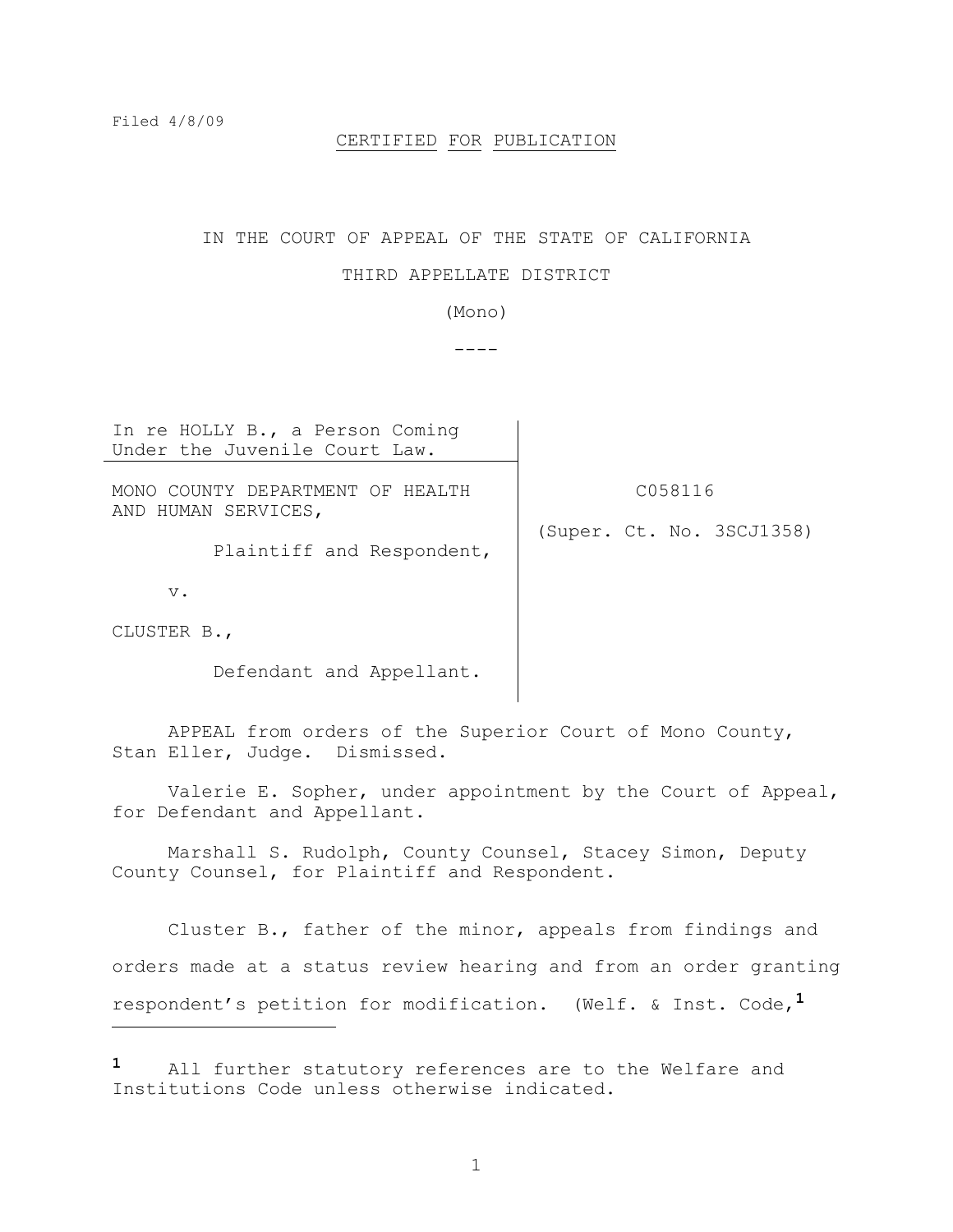L,

### CERTIFIED FOR PUBLICATION

#### IN THE COURT OF APPEAL OF THE STATE OF CALIFORNIA

# THIRD APPELLATE DISTRICT

(Mono)

 $----$ 

In re HOLLY B., a Person Coming Under the Juvenile Court Law. MONO COUNTY DEPARTMENT OF HEALTH AND HUMAN SERVICES, Plaintiff and Respondent, v. CLUSTER B., Defendant and Appellant. C058116 (Super. Ct. No. 3SCJ1358)

APPEAL from orders of the Superior Court of Mono County, Stan Eller, Judge. Dismissed.

Valerie E. Sopher, under appointment by the Court of Appeal, for Defendant and Appellant.

Marshall S. Rudolph, County Counsel, Stacey Simon, Deputy County Counsel, for Plaintiff and Respondent.

Cluster B., father of the minor, appeals from findings and orders made at a status review hearing and from an order granting respondent's petition for modification. (Welf. & Inst. Code,**1**

**<sup>1</sup>** All further statutory references are to the Welfare and Institutions Code unless otherwise indicated.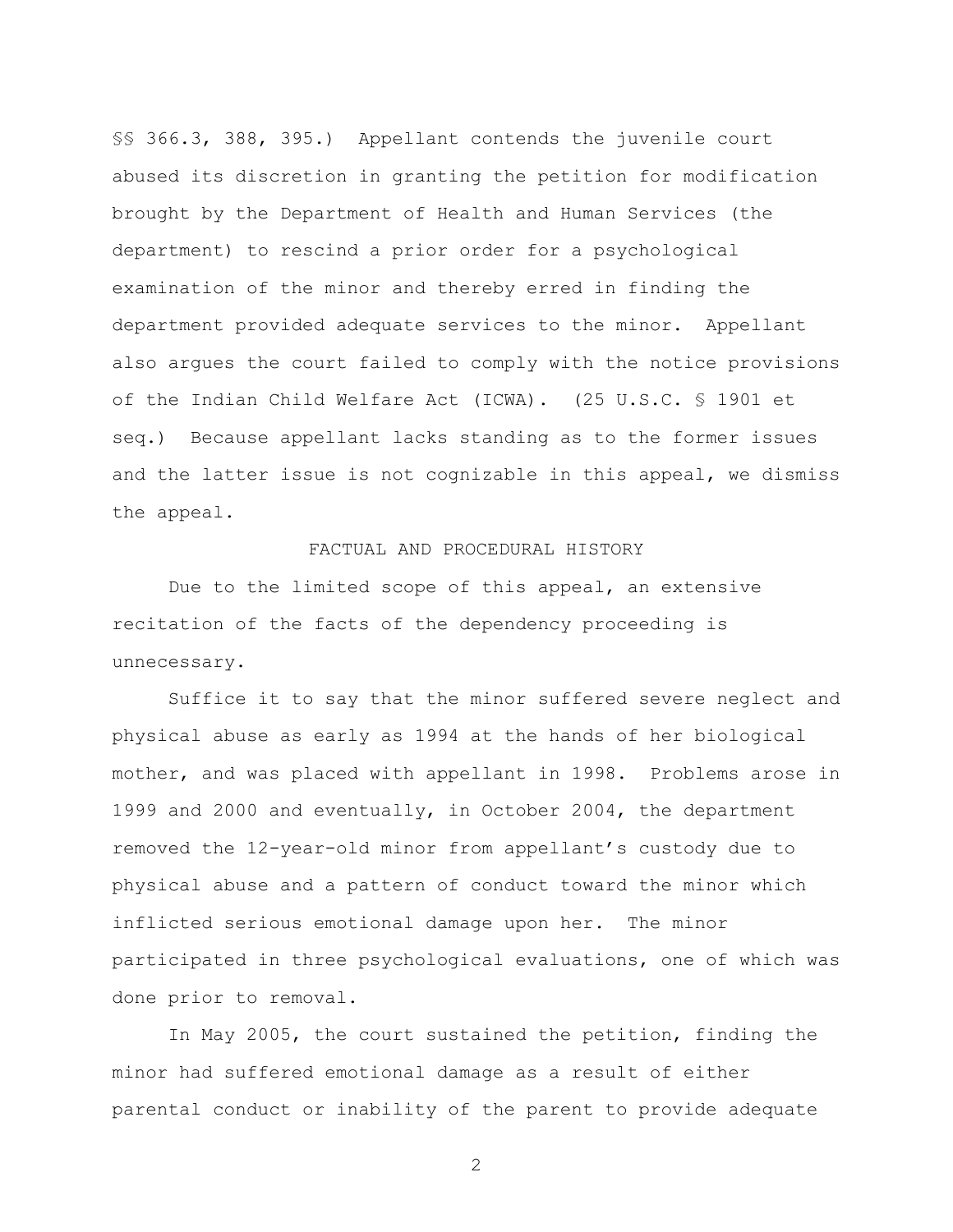§§ 366.3, 388, 395.) Appellant contends the juvenile court abused its discretion in granting the petition for modification brought by the Department of Health and Human Services (the department) to rescind a prior order for a psychological examination of the minor and thereby erred in finding the department provided adequate services to the minor. Appellant also argues the court failed to comply with the notice provisions of the Indian Child Welfare Act (ICWA). (25 U.S.C. § 1901 et seq.) Because appellant lacks standing as to the former issues and the latter issue is not cognizable in this appeal, we dismiss the appeal.

# FACTUAL AND PROCEDURAL HISTORY

Due to the limited scope of this appeal, an extensive recitation of the facts of the dependency proceeding is unnecessary.

Suffice it to say that the minor suffered severe neglect and physical abuse as early as 1994 at the hands of her biological mother, and was placed with appellant in 1998. Problems arose in 1999 and 2000 and eventually, in October 2004, the department removed the 12-year-old minor from appellant's custody due to physical abuse and a pattern of conduct toward the minor which inflicted serious emotional damage upon her. The minor participated in three psychological evaluations, one of which was done prior to removal.

In May 2005, the court sustained the petition, finding the minor had suffered emotional damage as a result of either parental conduct or inability of the parent to provide adequate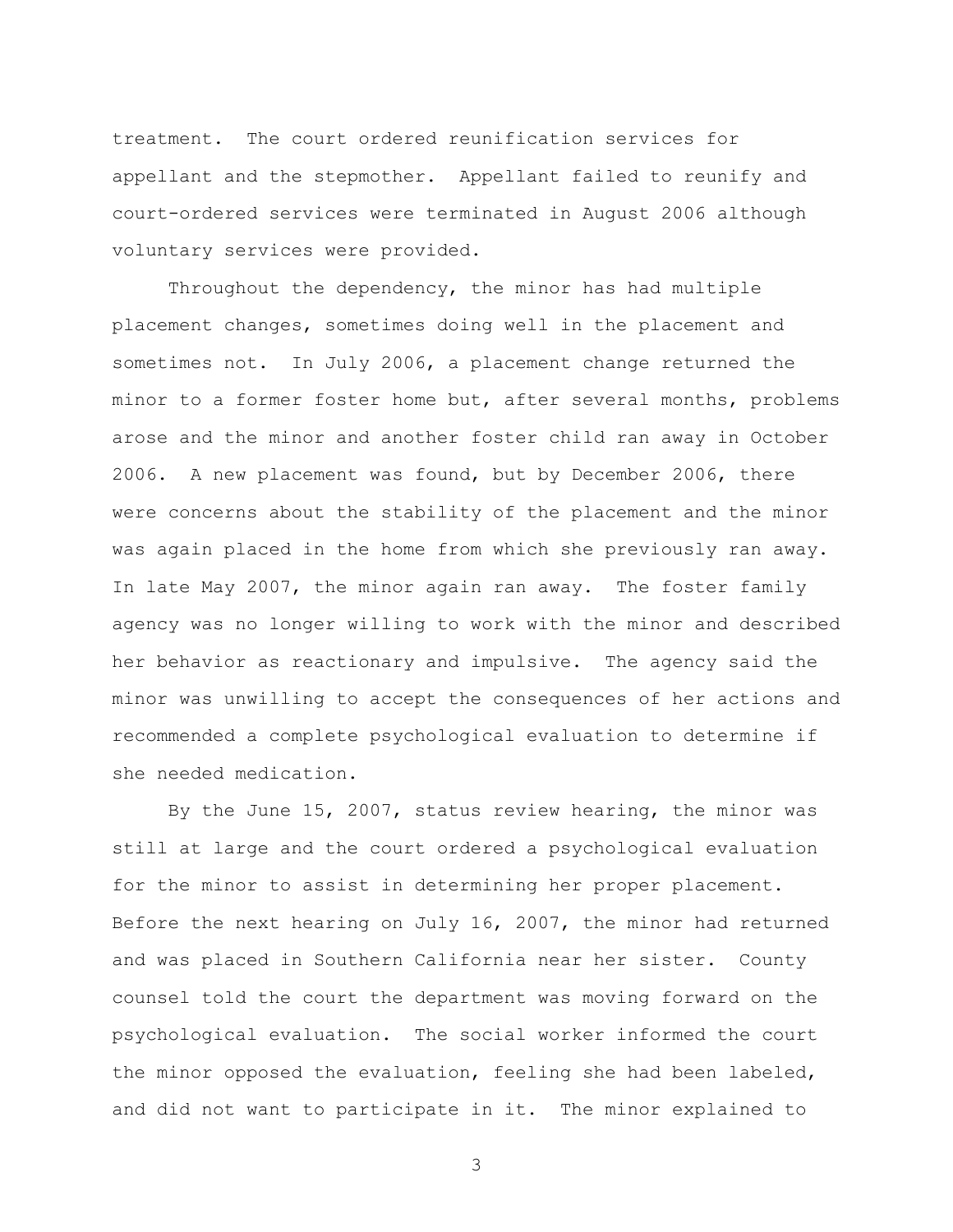treatment. The court ordered reunification services for appellant and the stepmother. Appellant failed to reunify and court-ordered services were terminated in August 2006 although voluntary services were provided.

Throughout the dependency, the minor has had multiple placement changes, sometimes doing well in the placement and sometimes not. In July 2006, a placement change returned the minor to a former foster home but, after several months, problems arose and the minor and another foster child ran away in October 2006. A new placement was found, but by December 2006, there were concerns about the stability of the placement and the minor was again placed in the home from which she previously ran away. In late May 2007, the minor again ran away. The foster family agency was no longer willing to work with the minor and described her behavior as reactionary and impulsive. The agency said the minor was unwilling to accept the consequences of her actions and recommended a complete psychological evaluation to determine if she needed medication.

By the June 15, 2007, status review hearing, the minor was still at large and the court ordered a psychological evaluation for the minor to assist in determining her proper placement. Before the next hearing on July 16, 2007, the minor had returned and was placed in Southern California near her sister. County counsel told the court the department was moving forward on the psychological evaluation. The social worker informed the court the minor opposed the evaluation, feeling she had been labeled, and did not want to participate in it. The minor explained to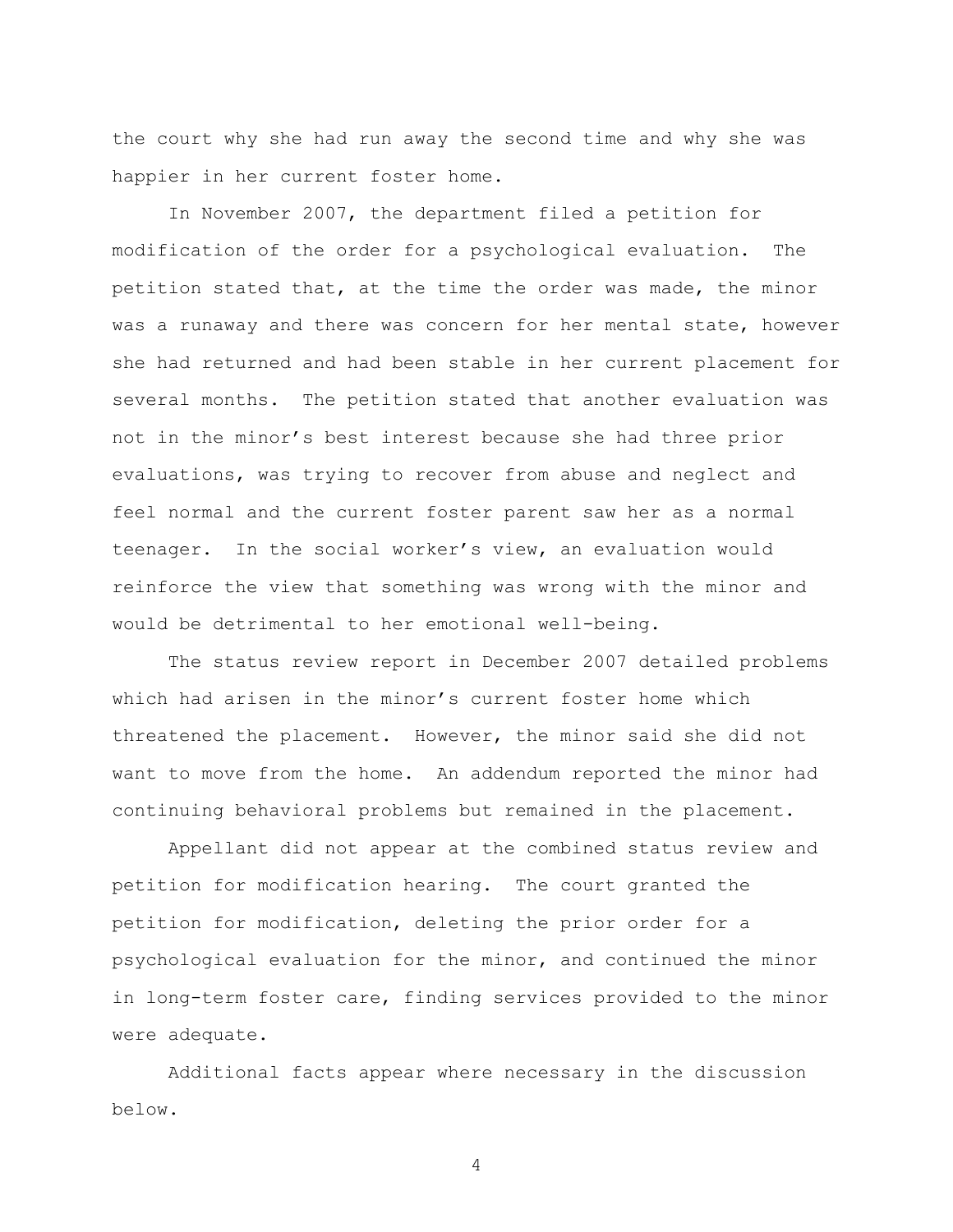the court why she had run away the second time and why she was happier in her current foster home.

In November 2007, the department filed a petition for modification of the order for a psychological evaluation. The petition stated that, at the time the order was made, the minor was a runaway and there was concern for her mental state, however she had returned and had been stable in her current placement for several months. The petition stated that another evaluation was not in the minor's best interest because she had three prior evaluations, was trying to recover from abuse and neglect and feel normal and the current foster parent saw her as a normal teenager. In the social worker's view, an evaluation would reinforce the view that something was wrong with the minor and would be detrimental to her emotional well-being.

The status review report in December 2007 detailed problems which had arisen in the minor's current foster home which threatened the placement. However, the minor said she did not want to move from the home. An addendum reported the minor had continuing behavioral problems but remained in the placement.

Appellant did not appear at the combined status review and petition for modification hearing. The court granted the petition for modification, deleting the prior order for a psychological evaluation for the minor, and continued the minor in long-term foster care, finding services provided to the minor were adequate.

Additional facts appear where necessary in the discussion below.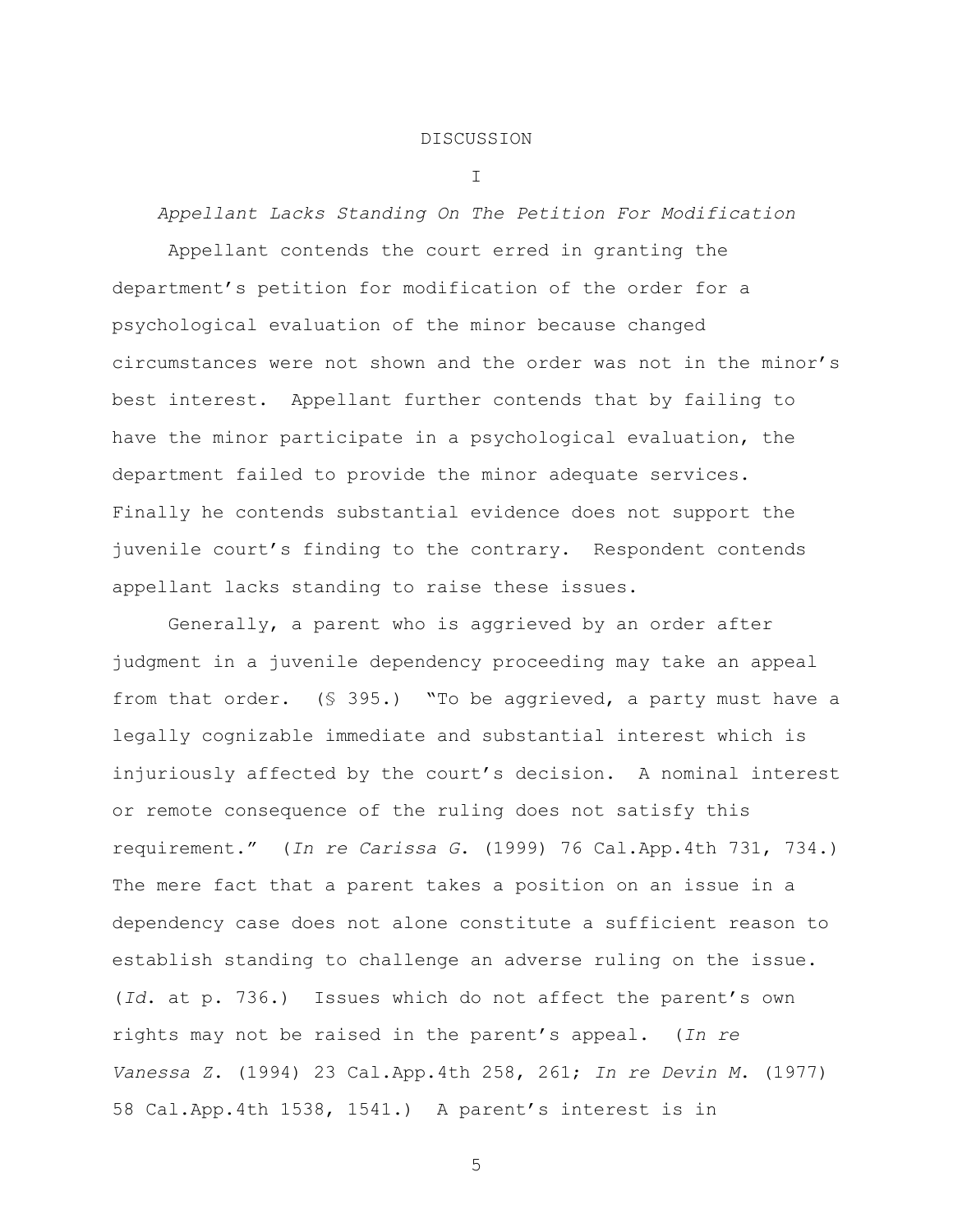### DISCUSSION

I

*Appellant Lacks Standing On The Petition For Modification*

Appellant contends the court erred in granting the department's petition for modification of the order for a psychological evaluation of the minor because changed circumstances were not shown and the order was not in the minor's best interest. Appellant further contends that by failing to have the minor participate in a psychological evaluation, the department failed to provide the minor adequate services. Finally he contends substantial evidence does not support the juvenile court's finding to the contrary. Respondent contends appellant lacks standing to raise these issues.

Generally, a parent who is aggrieved by an order after judgment in a juvenile dependency proceeding may take an appeal from that order. (§ 395.) "To be aggrieved, a party must have a legally cognizable immediate and substantial interest which is injuriously affected by the court's decision. A nominal interest or remote consequence of the ruling does not satisfy this requirement." (*In re Carissa G*. (1999) 76 Cal.App.4th 731, 734.) The mere fact that a parent takes a position on an issue in a dependency case does not alone constitute a sufficient reason to establish standing to challenge an adverse ruling on the issue. (*Id*. at p. 736.) Issues which do not affect the parent's own rights may not be raised in the parent's appeal. (*In re Vanessa Z*. (1994) 23 Cal.App.4th 258, 261; *In re Devin M*. (1977) 58 Cal.App.4th 1538, 1541.) A parent's interest is in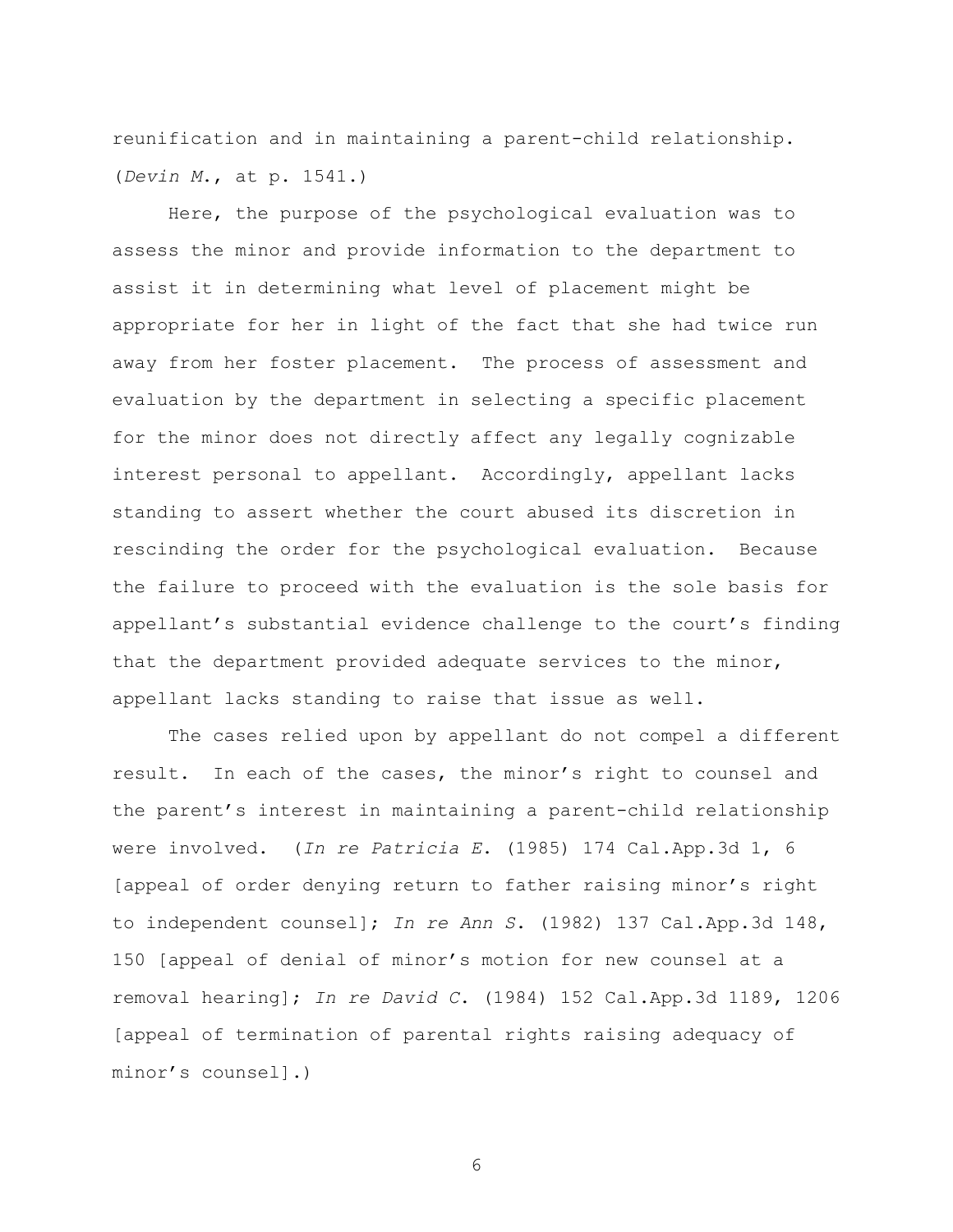reunification and in maintaining a parent-child relationship. (*Devin M*., at p. 1541.)

Here, the purpose of the psychological evaluation was to assess the minor and provide information to the department to assist it in determining what level of placement might be appropriate for her in light of the fact that she had twice run away from her foster placement. The process of assessment and evaluation by the department in selecting a specific placement for the minor does not directly affect any legally cognizable interest personal to appellant. Accordingly, appellant lacks standing to assert whether the court abused its discretion in rescinding the order for the psychological evaluation. Because the failure to proceed with the evaluation is the sole basis for appellant's substantial evidence challenge to the court's finding that the department provided adequate services to the minor, appellant lacks standing to raise that issue as well.

The cases relied upon by appellant do not compel a different result. In each of the cases, the minor's right to counsel and the parent's interest in maintaining a parent-child relationship were involved. (*In re Patricia E*. (1985) 174 Cal.App.3d 1, 6 [appeal of order denying return to father raising minor's right to independent counsel]; *In re Ann S*. (1982) 137 Cal.App.3d 148, 150 [appeal of denial of minor's motion for new counsel at a removal hearing]; *In re David C*. (1984) 152 Cal.App.3d 1189, 1206 [appeal of termination of parental rights raising adequacy of minor's counsel].)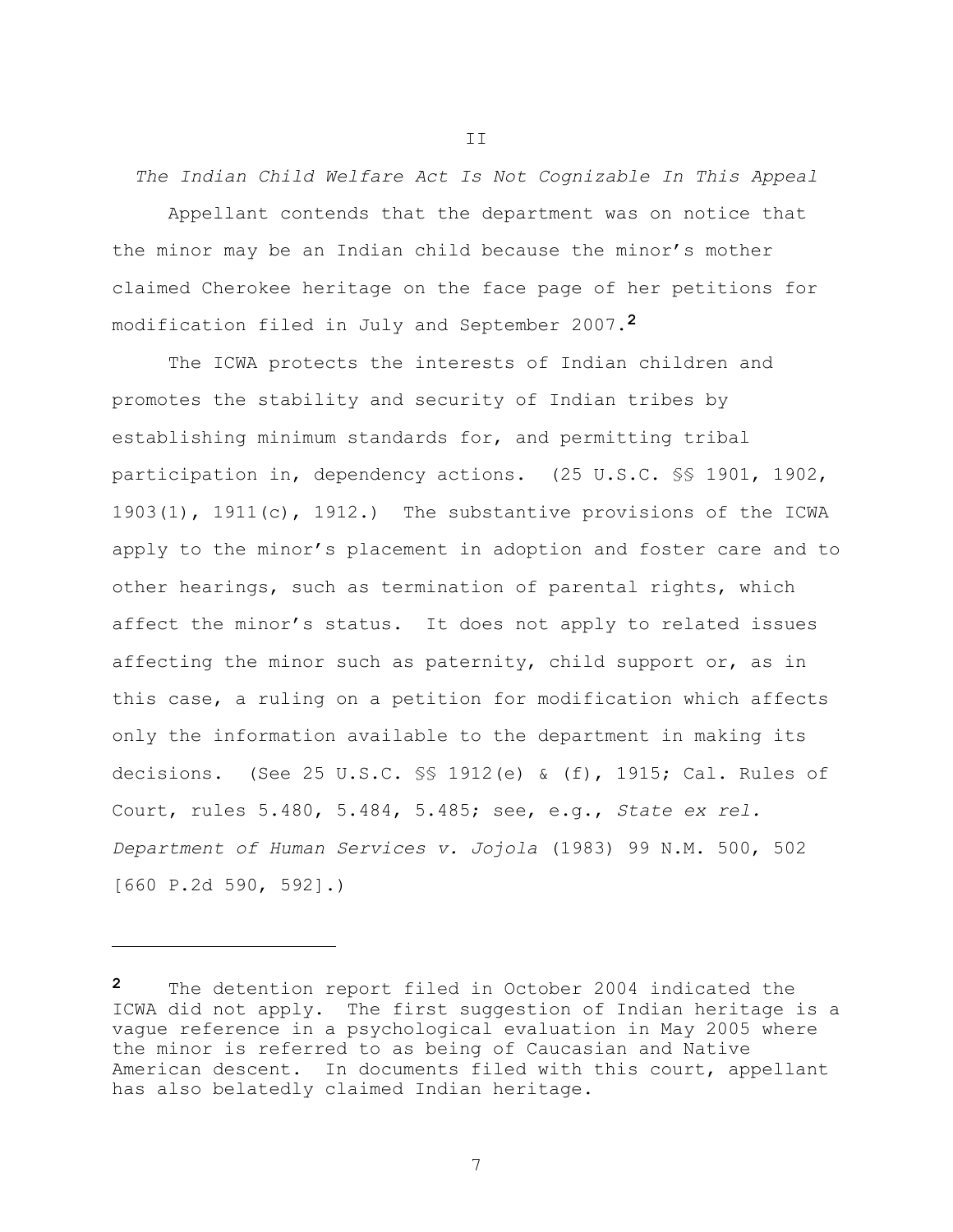*The Indian Child Welfare Act Is Not Cognizable In This Appeal*

Appellant contends that the department was on notice that the minor may be an Indian child because the minor's mother claimed Cherokee heritage on the face page of her petitions for modification filed in July and September 2007.**2**

The ICWA protects the interests of Indian children and promotes the stability and security of Indian tribes by establishing minimum standards for, and permitting tribal participation in, dependency actions. (25 U.S.C. §§ 1901, 1902, 1903(1), 1911(c), 1912.) The substantive provisions of the ICWA apply to the minor's placement in adoption and foster care and to other hearings, such as termination of parental rights, which affect the minor's status. It does not apply to related issues affecting the minor such as paternity, child support or, as in this case, a ruling on a petition for modification which affects only the information available to the department in making its decisions. (See 25 U.S.C. §§ 1912(e) & (f), 1915; Cal. Rules of Court, rules 5.480, 5.484, 5.485; see, e.g., *State ex rel. Department of Human Services v. Jojola* (1983) 99 N.M. 500, 502 [660 P.2d 590, 592].)

i<br>L

7

II

**<sup>2</sup>** The detention report filed in October 2004 indicated the ICWA did not apply. The first suggestion of Indian heritage is a vague reference in a psychological evaluation in May 2005 where the minor is referred to as being of Caucasian and Native American descent. In documents filed with this court, appellant has also belatedly claimed Indian heritage.